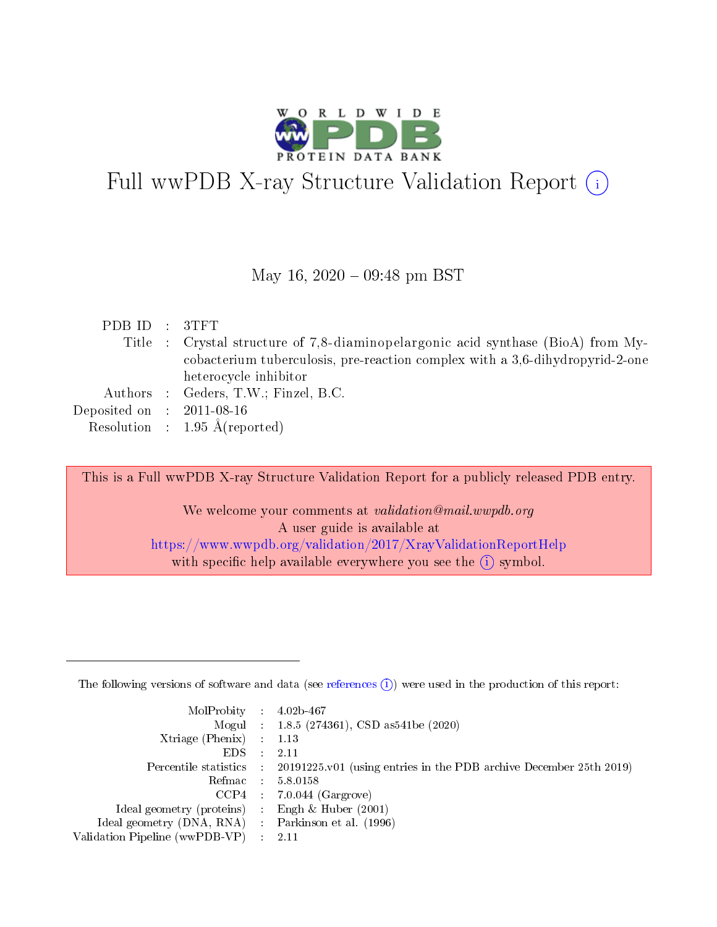

# Full wwPDB X-ray Structure Validation Report  $(i)$

#### May 16,  $2020 - 09:48$  pm BST

| PDB ID : 3TFT               |                                                                                  |
|-----------------------------|----------------------------------------------------------------------------------|
|                             | Title : Crystal structure of 7,8-diaminopelargonic acid synthase (BioA) from My- |
|                             | cobacterium tuberculosis, pre-reaction complex with a 3,6-dihydropyrid-2-one     |
|                             | heterocycle inhibitor                                                            |
|                             | Authors : Geders, T.W.; Finzel, B.C.                                             |
| Deposited on : $2011-08-16$ |                                                                                  |
|                             | Resolution : $1.95 \text{ Å}$ (reported)                                         |
|                             |                                                                                  |

This is a Full wwPDB X-ray Structure Validation Report for a publicly released PDB entry.

We welcome your comments at validation@mail.wwpdb.org A user guide is available at <https://www.wwpdb.org/validation/2017/XrayValidationReportHelp> with specific help available everywhere you see the  $(i)$  symbol.

The following versions of software and data (see [references](https://www.wwpdb.org/validation/2017/XrayValidationReportHelp#references)  $(1)$ ) were used in the production of this report:

| MolProbity : $4.02b-467$                           |               |                                                                                            |
|----------------------------------------------------|---------------|--------------------------------------------------------------------------------------------|
|                                                    |               | Mogul : $1.8.5$ (274361), CSD as 541be (2020)                                              |
| Xtriage (Phenix) $: 1.13$                          |               |                                                                                            |
| EDS.                                               | $\mathcal{L}$ | -2.11                                                                                      |
|                                                    |               | Percentile statistics : 20191225.v01 (using entries in the PDB archive December 25th 2019) |
|                                                    |               | Refmac : 5.8.0158                                                                          |
|                                                    |               | $CCP4$ 7.0.044 (Gargrove)                                                                  |
| Ideal geometry (proteins) : Engh $\&$ Huber (2001) |               |                                                                                            |
| Ideal geometry (DNA, RNA) Parkinson et al. (1996)  |               |                                                                                            |
| Validation Pipeline (wwPDB-VP) : 2.11              |               |                                                                                            |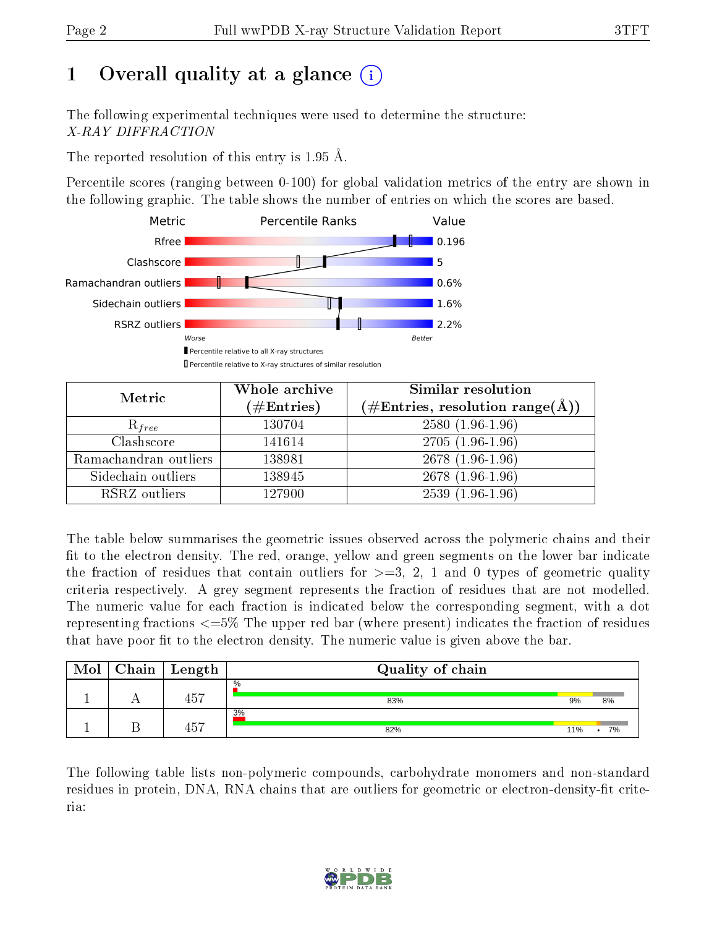# 1 [O](https://www.wwpdb.org/validation/2017/XrayValidationReportHelp#overall_quality)verall quality at a glance (i)

The following experimental techniques were used to determine the structure: X-RAY DIFFRACTION

The reported resolution of this entry is 1.95 Å.

Percentile scores (ranging between 0-100) for global validation metrics of the entry are shown in the following graphic. The table shows the number of entries on which the scores are based.



| Metric                | Whole archive       | Similar resolution                                                     |
|-----------------------|---------------------|------------------------------------------------------------------------|
|                       | (# $\rm{Entries}$ ) | $(\#\text{Entries},\, \text{resolution}\; \text{range}(\textup{\AA}))$ |
| $R_{free}$            | 130704              | $2580(1.96-1.96)$                                                      |
| Clashscore            | 141614              | $2705(1.96-1.96)$                                                      |
| Ramachandran outliers | 138981              | 2678 (1.96-1.96)                                                       |
| Sidechain outliers    | 138945              | $2678(1.96-1.96)$                                                      |
| RSRZ outliers         | 127900              | $2539(1.96-1.96)$                                                      |

The table below summarises the geometric issues observed across the polymeric chains and their fit to the electron density. The red, orange, yellow and green segments on the lower bar indicate the fraction of residues that contain outliers for  $>=3, 2, 1$  and 0 types of geometric quality criteria respectively. A grey segment represents the fraction of residues that are not modelled. The numeric value for each fraction is indicated below the corresponding segment, with a dot representing fractions <=5% The upper red bar (where present) indicates the fraction of residues that have poor fit to the electron density. The numeric value is given above the bar.

| Mol | $Chain$ $Length$ | Quality of chain |     |    |
|-----|------------------|------------------|-----|----|
|     | 457              | $\%$<br>83%      | 9%  | 8% |
|     | $ -$<br>45.      | 3%<br>82%        | 11% | 7% |

The following table lists non-polymeric compounds, carbohydrate monomers and non-standard residues in protein, DNA, RNA chains that are outliers for geometric or electron-density-fit criteria:

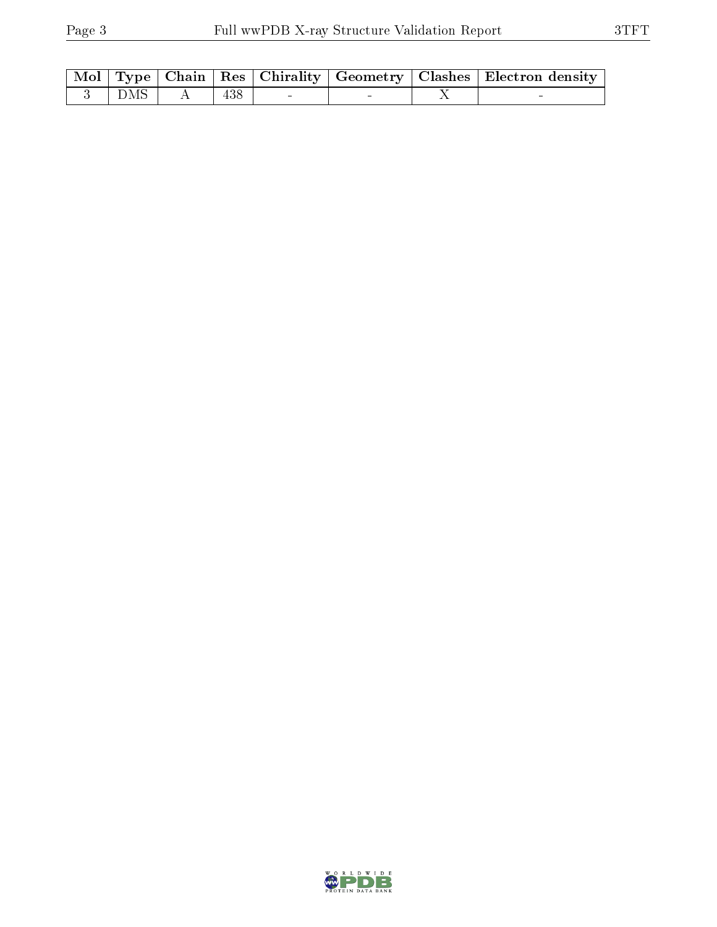|  |                                               |  |  | Mol   Type   Chain   Res   Chirality   Geometry   Clashes   Electron density |
|--|-----------------------------------------------|--|--|------------------------------------------------------------------------------|
|  | $\overline{3}$ $\overline{D}MS$   A   438   - |  |  |                                                                              |

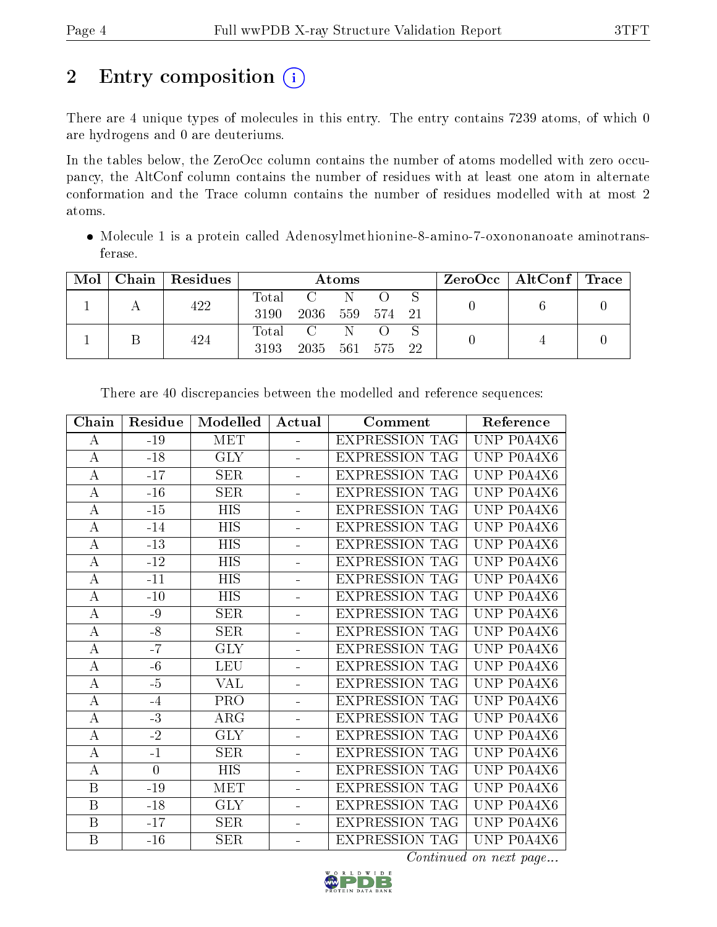# 2 Entry composition (i)

There are 4 unique types of molecules in this entry. The entry contains 7239 atoms, of which 0 are hydrogens and 0 are deuteriums.

In the tables below, the ZeroOcc column contains the number of atoms modelled with zero occupancy, the AltConf column contains the number of residues with at least one atom in alternate conformation and the Trace column contains the number of residues modelled with at most 2 atoms.

 Molecule 1 is a protein called Adenosylmethionine-8-amino-7-oxononanoate aminotransferase.

| Mol | Chain   Residues | Atoms               |                                       |              |        | $\text{ZeroOcc}$   AltConf   Trace |  |  |
|-----|------------------|---------------------|---------------------------------------|--------------|--------|------------------------------------|--|--|
|     | 422              | $\rm Total$<br>3190 | $\mathbf{C}$ and $\mathbf{C}$<br>2036 | - N<br>559   | 574 21 |                                    |  |  |
|     | 424              | Total<br>3193       | $\overline{C}$<br>2035 561            | $\mathbb{N}$ | 575 22 |                                    |  |  |

| Chain            | Residue         | Modelled   | Actual   | Comment               | Reference  |
|------------------|-----------------|------------|----------|-----------------------|------------|
| А                | $-19$           | <b>MET</b> |          | <b>EXPRESSION TAG</b> | UNP P0A4X6 |
| А                | $-18$           | <b>GLY</b> |          | <b>EXPRESSION TAG</b> | UNP P0A4X6 |
| А                | $-17$           | <b>SER</b> |          | <b>EXPRESSION TAG</b> | UNP P0A4X6 |
| $\bf{A}$         | $-16$           | <b>SER</b> |          | <b>EXPRESSION TAG</b> | UNP P0A4X6 |
| $\boldsymbol{A}$ | $-15$           | HIS        |          | <b>EXPRESSION TAG</b> | UNP P0A4X6 |
| $\bf{A}$         | $-14$           | <b>HIS</b> | ÷.       | <b>EXPRESSION TAG</b> | UNP P0A4X6 |
| $\bf{A}$         | $-13$           | HIS        | ÷.       | <b>EXPRESSION TAG</b> | UNP P0A4X6 |
| $\boldsymbol{A}$ | $-12$           | <b>HIS</b> | ÷,       | <b>EXPRESSION TAG</b> | UNP P0A4X6 |
| $\boldsymbol{A}$ | $-11$           | HIS        | ÷.       | <b>EXPRESSION TAG</b> | UNP P0A4X6 |
| $\bf{A}$         | $-10$           | <b>HIS</b> | ÷,       | <b>EXPRESSION TAG</b> | UNP P0A4X6 |
| А                | -9              | <b>SER</b> | $\equiv$ | <b>EXPRESSION TAG</b> | UNP P0A4X6 |
| $\bf{A}$         | $-8$            | <b>SER</b> | $\equiv$ | <b>EXPRESSION TAG</b> | UNP P0A4X6 |
| $\boldsymbol{A}$ | $-7$            | <b>GLY</b> | ÷        | <b>EXPRESSION TAG</b> | UNP P0A4X6 |
| A                | $-6$            | <b>LEU</b> | ÷        | <b>EXPRESSION TAG</b> | UNP P0A4X6 |
| $\boldsymbol{A}$ | $-5$            | <b>VAL</b> | ÷,       | <b>EXPRESSION TAG</b> | UNP P0A4X6 |
| $\bf{A}$         | $-4$            | <b>PRO</b> |          | <b>EXPRESSION TAG</b> | UNP P0A4X6 |
| $\boldsymbol{A}$ | $-3$            | ARG        | ÷        | <b>EXPRESSION TAG</b> | UNP P0A4X6 |
| $\boldsymbol{A}$ | $\overline{-2}$ | <b>GLY</b> | ÷,       | <b>EXPRESSION TAG</b> | UNP P0A4X6 |
| A                | $-1$            | <b>SER</b> |          | <b>EXPRESSION TAG</b> | UNP P0A4X6 |
| A                | $\overline{0}$  | <b>HIS</b> |          | <b>EXPRESSION TAG</b> | UNP P0A4X6 |
| B                | $-19$           | <b>MET</b> |          | <b>EXPRESSION TAG</b> | UNP P0A4X6 |
| $\boldsymbol{B}$ | $-18$           | <b>GLY</b> |          | <b>EXPRESSION TAG</b> | UNP P0A4X6 |
| $\, {\bf B}$     | $-17$           | <b>SER</b> |          | <b>EXPRESSION TAG</b> | UNP P0A4X6 |
| B                | $-16$           | <b>SER</b> |          | <b>EXPRESSION TAG</b> | UNP P0A4X6 |

There are 40 discrepancies between the modelled and reference sequences:

Continued on next page...

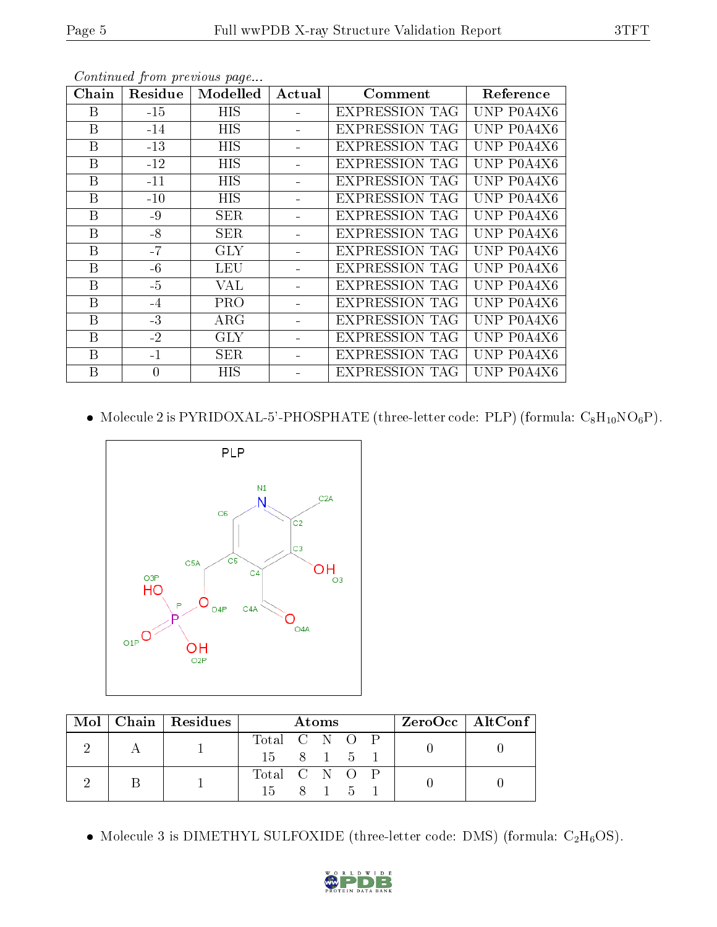| Chain | Residue  | Modelled   | Actual | Comment               | Reference  |
|-------|----------|------------|--------|-----------------------|------------|
| B     | $-15$    | <b>HIS</b> |        | <b>EXPRESSION TAG</b> | UNP P0A4X6 |
| B     | $-14$    | <b>HIS</b> |        | <b>EXPRESSION TAG</b> | UNP P0A4X6 |
| B     | $-13$    | HIS        |        | EXPRESSION TAG        | UNP P0A4X6 |
| B     | $-12$    | <b>HIS</b> |        | <b>EXPRESSION TAG</b> | UNP P0A4X6 |
| B     | $-11$    | <b>HIS</b> |        | <b>EXPRESSION TAG</b> | UNP P0A4X6 |
| B     | $-10$    | <b>HIS</b> |        | <b>EXPRESSION TAG</b> | UNP P0A4X6 |
| B     | $-9$     | <b>SER</b> |        | <b>EXPRESSION TAG</b> | UNP P0A4X6 |
| Β     | $-8$     | <b>SER</b> |        | <b>EXPRESSION TAG</b> | UNP P0A4X6 |
| B     | $-7$     | <b>GLY</b> |        | <b>EXPRESSION TAG</b> | UNP P0A4X6 |
| B     | $-6$     | <b>LEU</b> |        | <b>EXPRESSION TAG</b> | UNP P0A4X6 |
| B     | $-5$     | VAL        |        | <b>EXPRESSION TAG</b> | UNP P0A4X6 |
| B     | $-4$     | <b>PRO</b> |        | <b>EXPRESSION TAG</b> | UNP P0A4X6 |
| Β     | $-3$     | $\rm{ARG}$ |        | EXPRESSION TAG        | UNP P0A4X6 |
| B     | $-2$     | <b>GLY</b> |        | <b>EXPRESSION TAG</b> | UNP P0A4X6 |
| B     | $-1$     | <b>SER</b> |        | <b>EXPRESSION TAG</b> | UNP P0A4X6 |
| Β     | $\theta$ | HIS        |        | <b>EXPRESSION TAG</b> | UNP P0A4X6 |

Continued from previous page...

 $\bullet\,$  Molecule 2 is <code>PYRIDOXAL-5'-PHOSPHATE</code> (three-letter code: <code>PLP</code>) (formula: <code>C<sub>8</sub>H<sub>10</sub>NO $_6{\rm P}$ ). </code>



|  | $\text{Mol}$   Chain   Residues | <b>Atoms</b>  |  |       |  | $ZeroOcc$   AltConf |  |  |  |
|--|---------------------------------|---------------|--|-------|--|---------------------|--|--|--|
|  |                                 | Total C N O P |  |       |  |                     |  |  |  |
|  |                                 | 15 8 1 5 1    |  |       |  |                     |  |  |  |
|  |                                 | Total C N O P |  |       |  |                     |  |  |  |
|  |                                 | $15 -$        |  | 8 1 5 |  |                     |  |  |  |

• Molecule 3 is DIMETHYL SULFOXIDE (three-letter code: DMS) (formula:  $C_2H_6OS$ ).

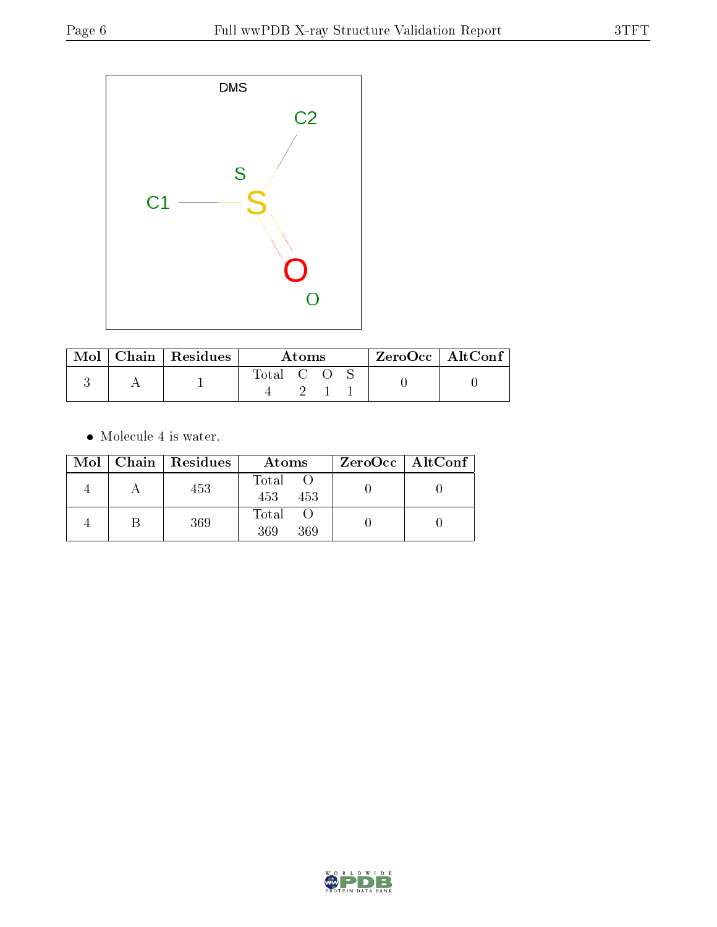

| Mol | $\mid$ Chain $\mid$ Residues | Atoms     |  |  | $\rm ZeroOcc$   Alt $\rm Conf$ |  |
|-----|------------------------------|-----------|--|--|--------------------------------|--|
|     |                              | Total C O |  |  |                                |  |

 $\bullet\,$  Molecule 4 is water.

|  | Mol   Chain   Residues | Atoms               | $ZeroOcc \   \$ AltConf |
|--|------------------------|---------------------|-------------------------|
|  | 453                    | Total<br>453<br>453 |                         |
|  | 369                    | Total<br>369<br>369 |                         |

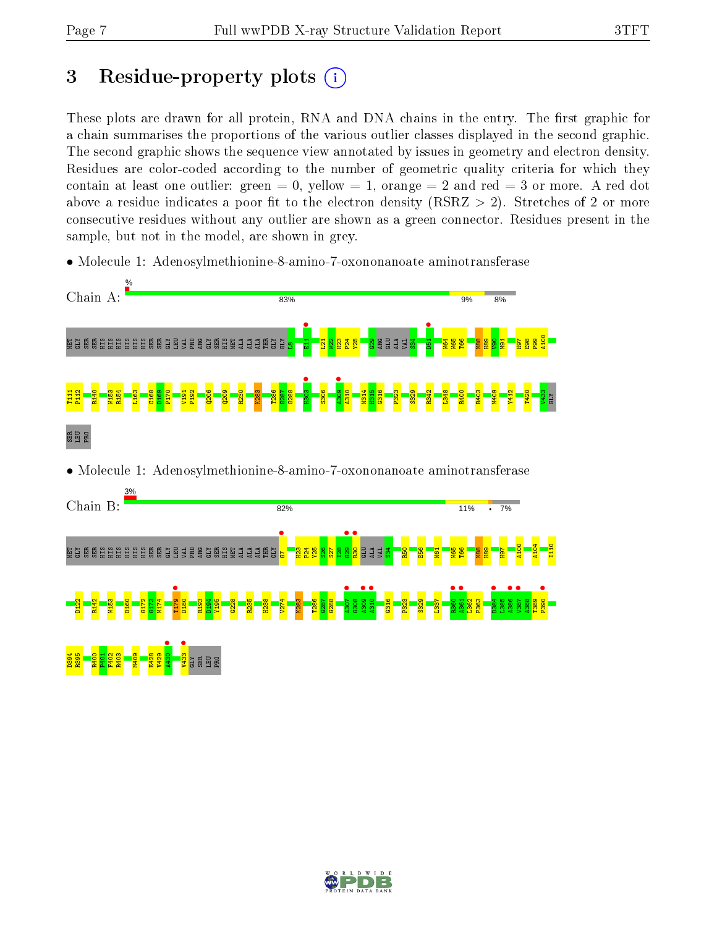# 3 Residue-property plots  $(i)$

These plots are drawn for all protein, RNA and DNA chains in the entry. The first graphic for a chain summarises the proportions of the various outlier classes displayed in the second graphic. The second graphic shows the sequence view annotated by issues in geometry and electron density. Residues are color-coded according to the number of geometric quality criteria for which they contain at least one outlier: green  $= 0$ , yellow  $= 1$ , orange  $= 2$  and red  $= 3$  or more. A red dot above a residue indicates a poor fit to the electron density (RSRZ  $> 2$ ). Stretches of 2 or more consecutive residues without any outlier are shown as a green connector. Residues present in the sample, but not in the model, are shown in grey.

• Molecule 1: Adenosylmethionine-8-amino-7-oxononanoate aminotransferase



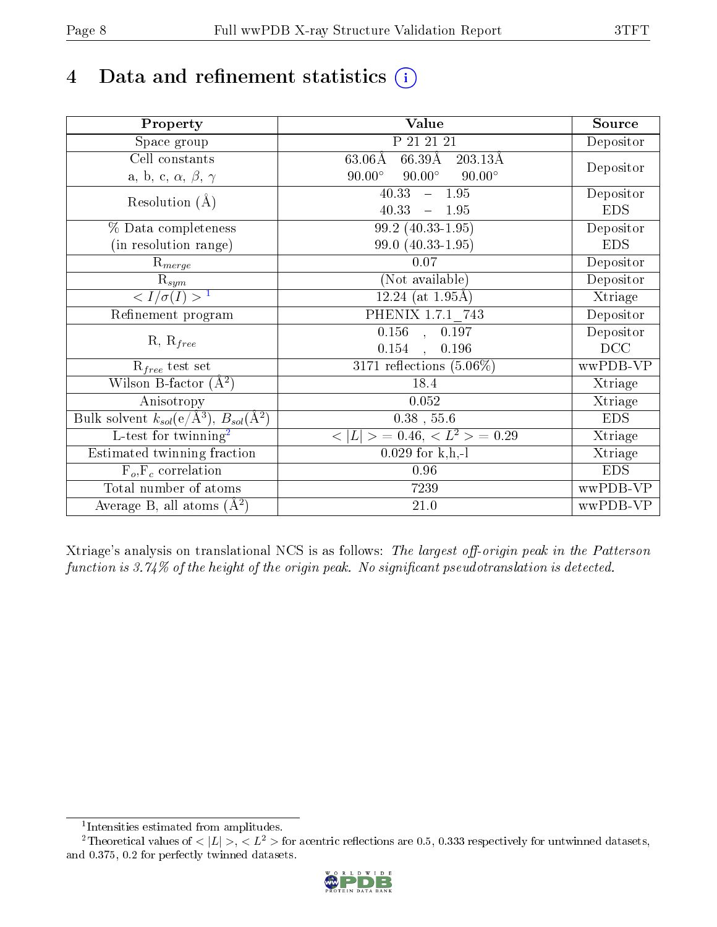# 4 Data and refinement statistics  $(i)$

| Property                                                   | <b>Value</b>                                          | Source     |
|------------------------------------------------------------|-------------------------------------------------------|------------|
| Space group                                                | P 21 21 21                                            | Depositor  |
| Cell constants                                             | $66.39\text{\AA}$<br>$63.06\text{\AA}$<br>$203.13\AA$ |            |
| a, b, c, $\alpha$ , $\beta$ , $\gamma$                     | $90.00^\circ$<br>$90.00^\circ$<br>$90.00^\circ$       | Depositor  |
| Resolution $(A)$                                           | 40.33<br>$-1.95$                                      | Depositor  |
|                                                            | 40.33<br>1.95<br>$\equiv$                             | <b>EDS</b> |
| % Data completeness                                        | 99.2 (40.33-1.95)                                     | Depositor  |
| (in resolution range)                                      | 99.0 (40.33-1.95)                                     | <b>EDS</b> |
| $R_{merge}$                                                | 0.07                                                  | Depositor  |
| $\mathrm{R}_{sym}$                                         | (Not available)                                       | Depositor  |
| $\langle I/\sigma(I) \rangle^{-1}$                         | $12.24$ (at 1.95Å)                                    | Xtriage    |
| Refinement program                                         | PHENIX 1.7.1 743                                      | Depositor  |
|                                                            | $\overline{0.156}$ , 0.197                            | Depositor  |
| $R, R_{free}$                                              | 0.154<br>0.196<br>$\mathbf{A}$                        | DCC        |
| $R_{free}$ test set                                        | 3171 reflections $(5.06\%)$                           | wwPDB-VP   |
| Wilson B-factor $(A^2)$                                    | 18.4                                                  | Xtriage    |
| Anisotropy                                                 | 0.052                                                 | Xtriage    |
| Bulk solvent $k_{sol}$ (e/Å <sup>3</sup> ), $B_{sol}(A^2)$ | $0.38$ , 55.6                                         | <b>EDS</b> |
| $\overline{L}$ -test for twinning <sup>2</sup>             | $< L >$ = 0.46, $< L2 >$ = 0.29                       | Xtriage    |
| Estimated twinning fraction                                | $0.029$ for k,h,-l                                    | Xtriage    |
| $F_o, F_c$ correlation                                     | 0.96                                                  | <b>EDS</b> |
| Total number of atoms                                      | 7239                                                  | wwPDB-VP   |
| Average B, all atoms $(A^2)$                               | 21.0                                                  | wwPDB-VP   |

Xtriage's analysis on translational NCS is as follows: The largest off-origin peak in the Patterson function is  $3.74\%$  of the height of the origin peak. No significant pseudotranslation is detected.

<sup>&</sup>lt;sup>2</sup>Theoretical values of  $\langle |L| \rangle$ ,  $\langle L^2 \rangle$  for acentric reflections are 0.5, 0.333 respectively for untwinned datasets, and 0.375, 0.2 for perfectly twinned datasets.



<span id="page-7-1"></span><span id="page-7-0"></span><sup>1</sup> Intensities estimated from amplitudes.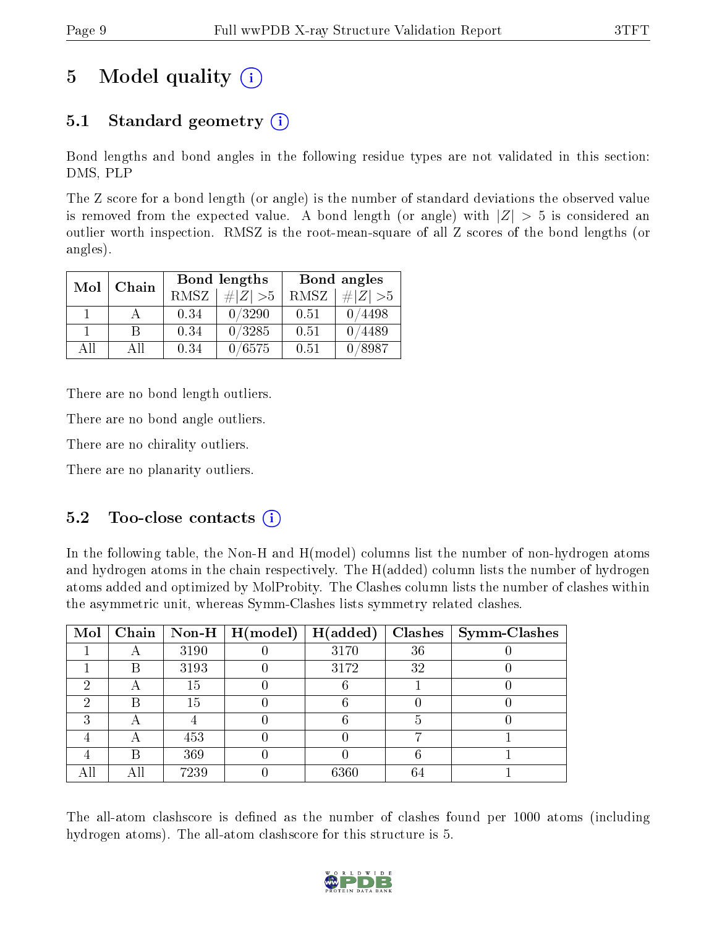# 5 Model quality  $(i)$

### 5.1 Standard geometry  $(i)$

Bond lengths and bond angles in the following residue types are not validated in this section: DMS, PLP

The Z score for a bond length (or angle) is the number of standard deviations the observed value is removed from the expected value. A bond length (or angle) with  $|Z| > 5$  is considered an outlier worth inspection. RMSZ is the root-mean-square of all Z scores of the bond lengths (or angles).

| Mol | Chain |      | Bond lengths | Bond angles |             |  |
|-----|-------|------|--------------|-------------|-------------|--|
|     |       | RMSZ | $\# Z  > 5$  | RMSZ        | $\# Z  > 5$ |  |
|     |       | 0.34 | 0/3290       | 0.51        | 0/4498      |  |
|     | R     | 0.34 | 0/3285       | 0.51        | /4489       |  |
| ΑĦ  | АH    | 0.34 | 0/6575       | 0.51        | /8987       |  |

There are no bond length outliers.

There are no bond angle outliers.

There are no chirality outliers.

There are no planarity outliers.

### $5.2$  Too-close contacts  $\overline{()}$

In the following table, the Non-H and H(model) columns list the number of non-hydrogen atoms and hydrogen atoms in the chain respectively. The H(added) column lists the number of hydrogen atoms added and optimized by MolProbity. The Clashes column lists the number of clashes within the asymmetric unit, whereas Symm-Clashes lists symmetry related clashes.

| Mol |   |      | Chain   Non-H   H(model) | H(added) |    | $Clashes$   Symm-Clashes |
|-----|---|------|--------------------------|----------|----|--------------------------|
|     |   | 3190 |                          | 3170     | 36 |                          |
|     | В | 3193 |                          | 3172     | 32 |                          |
|     |   | 15   |                          |          |    |                          |
| 6)  | В | 15   |                          |          |    |                          |
| ച   | − |      |                          |          |    |                          |
|     | 宀 | 453  |                          |          |    |                          |
|     | R | 369  |                          |          |    |                          |
| All |   | 7239 |                          | 6360     | 64 |                          |

The all-atom clashscore is defined as the number of clashes found per 1000 atoms (including hydrogen atoms). The all-atom clashscore for this structure is 5.

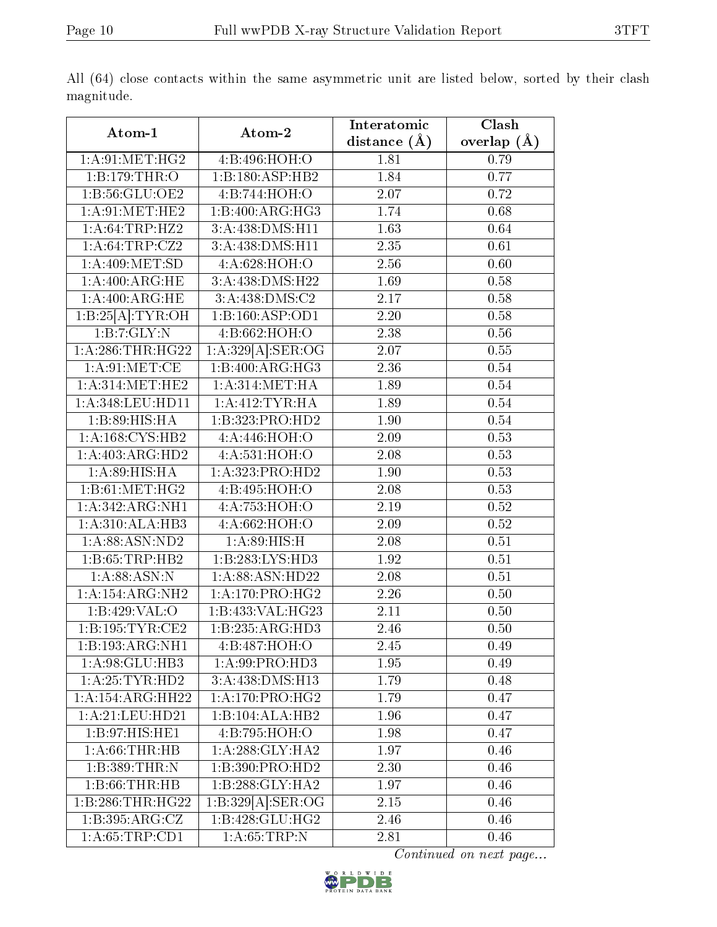|                              |                            | Interatomic      | Clash         |
|------------------------------|----------------------------|------------------|---------------|
| Atom-1                       | Atom-2                     | distance $(\AA)$ | overlap $(A)$ |
| 1: A:91:MET:HG2              | 4:B:496:HOH:O              | 1.81             | 0.79          |
| 1:B:179:THR:O                | 1:B:180:ASP:HB2            | 1.84             | 0.77          |
| 1:B:56:GLU:OE2               | 4:B:744:HOH:O              | 2.07             | 0.72          |
| 1: A:91: MET:HE2             | 1:B:400:ARG:HG3            | 1.74             | 0.68          |
| 1: A:64:TRP:HZ2              | 3:A:438:DMS:H11            | 1.63             | 0.64          |
| 1:A:64:TRP:CZ2               | 3:A:438:DMS:H11            | 2.35             | 0.61          |
| 1: A:409:MET:SD              | 4:A:628:HOH:O              | 2.56             | 0.60          |
| 1: A:400:ARG:HE              | 3:A:438:DMS:H22            | 1.69             | 0.58          |
| 1: A:400:ARG:HE              | 3:A:438:DMS:C2             | 2.17             | 0.58          |
| 1:B:25[A]:TYR:OH             | 1:B:160:ASP:OD1            | $2.20\,$         | 0.58          |
| 1:B:7:GLY:N                  | 4:B:662:HOH:O              | 2.38             | 0.56          |
| 1: A:286:THR:HG22            | $1:A:329[A]:\text{SER:OG}$ | 2.07             | 0.55          |
| 1: A:91: MET:CE              | 1:B:400:ARG:HG3            | 2.36             | $0.54\,$      |
| 1: A:314: MET:HE2            | 1: A:314: MET:HA           | 1.89             | 0.54          |
| 1: A:348: LEU: HD11          | 1: A:412:TYR:HA            | 1.89             | 0.54          |
| 1:B:89:HIS:HA                | 1:B:323:PRO:HD2            | 1.90             | 0.54          |
| 1: A: 168: CYS: HB2          | 4:A:446:HOH:O              | 2.09             | 0.53          |
| 1:A:403:ARG:HD2              | 4:A:531:HOH:O              | 2.08             | 0.53          |
| 1: A:89: HIS: HA             | 1:A:323:PRO:HD2            | 1.90             | 0.53          |
| 1: B:61: MET:HG2             | 4:B:495:HOH:O              | 2.08             | 0.53          |
| 1:A:342:ARG:NH1              | 4:A:753:HOH:O              | 2.19             | 0.52          |
| 1:A:310:ALA:HB3              | 4:A:662:HOH:O              | 2.09             | 0.52          |
| 1: A:88: ASN:ND2             | 1: A:89:HIS:H              | 2.08             | 0.51          |
| 1:B:65:TRP:HB2               | 1:B:283:LYS:HD3            | 1.92             | 0.51          |
| 1: A:88: ASN: N              | 1: A:88: ASN:HD22          | 2.08             | 0.51          |
| 1:A:154:ARG:NH2              | 1: A:170: PRO:HG2          | 2.26             | 0.50          |
| 1:B:429:VAL:O                | 1:B:433:VAL:HG23           | 2.11             | 0.50          |
| 1:B:195:TYR:CE2              | 1:B:235:ARG:HD3            | 2.46             | 0.50          |
| $1:B:193:ARG:\overline{NH1}$ | 4:B:487:HOH:O              | 2.45             | 0.49          |
| 1: A:98: GLU:HB3             | 1: A:99: PRO:HD3           | 1.95             | 0.49          |
| 1:A:25:TYR:HD2               | 3:A:438:DMS:H13            | 1.79             | 0.48          |
| 1:A:154:ARG:HH22             | 1: A:170: PRO:HG2          | 1.79             | 0.47          |
| 1: A:21: LEU: HD21           | 1:B:104:ALA:HB2            | 1.96             | 0.47          |
| 1: B:97: HIS: HE1            | 4:B:795:HOH:O              | 1.98             | 0.47          |
| 1: A:66:THR:HB               | 1: A:288: GLY:HA2          | 1.97             | 0.46          |
| 1:B:389:THR:N                | 1:B:390:PRO:HD2            | 2.30             | 0.46          |
| 1:B:66:THR:HB                | 1:B:288:GLY:HA2            | 1.97             | 0.46          |
| 1:B:286:THR:HG22             | $1:B:329[A]:\text{SER:OG}$ | 2.15             | 0.46          |
| 1:B:395:ARG:CZ               | 1:B:428:GLU:HG2            | 2.46             | 0.46          |
| 1: A:65:TRP:CD1              | 1: A:65:TRP:N              | 2.81             | 0.46          |

All (64) close contacts within the same asymmetric unit are listed below, sorted by their clash magnitude.

Continued on next page...

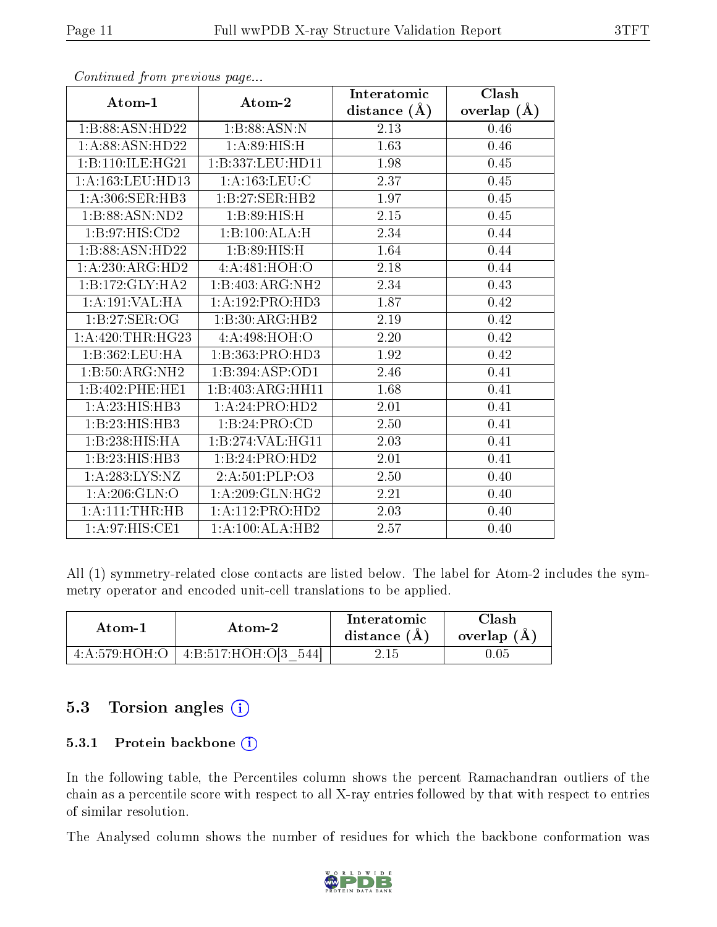|                                    |                              | Interatomic    | $\overline{\text{Clash}}$ |
|------------------------------------|------------------------------|----------------|---------------------------|
| Atom-1                             | Atom-2                       | distance $(A)$ | overlap $(A)$             |
| 1:B:88:ASN:HD22                    | 1:B:88:ASN:N                 | 2.13           | 0.46                      |
| 1: A:88: ASN:HD22                  | 1:A:89:HIS:H                 | 1.63           | 0.46                      |
| 1:B:110:ILE:HG21                   | 1:B:337:LEU:HD11             | 1.98           | 0.45                      |
| 1: A: 163: LEU: HD13               | 1: A: 163: LEU: C            | 2.37           | 0.45                      |
| 1: A:306: SER: HB3                 | 1:B:27:SER:HB2               | 1.97           | $0.45\,$                  |
| 1:B:88:ASN:ND2                     | 1:B:89:HIS:H                 | 2.15           | 0.45                      |
| 1: B:97: HIS: CD2                  | 1:B:100:ALA:H                | 2.34           | 0.44                      |
| 1:B:88:ASN:HD22                    | 1:B:89:HIS:H                 | 1.64           | 0.44                      |
| 1:A:230:ARG:HD2                    | 4:A:481:HOH:O                | 2.18           | 0.44                      |
| 1:B:172:GLY:HA2                    | 1:B:403:ARG:NH2              | 2.34           | 0.43                      |
| 1:A:191:VAL:HA                     | 1: A: 192: PRO: HD3          | 1.87           | 0.42                      |
| 1:B:27:SER:OG                      | 1:B:30:ARG:HB2               | 2.19           | 0.42                      |
| 1:A:420:THR:HG23                   | 4:A:498:HOH:O                | 2.20           | 0.42                      |
| 1:B:362:LEU:HA                     | 1:B:363:PRO:HD3              | 1.92           | 0.42                      |
| $1:B:50:ARG:N\overline{H2}$        | 1:B:394:ASP:OD1              | 2.46           | 0.41                      |
| 1:B:402:PHE:HE1                    | 1:B:403:ARG:HH11             | 1.68           | 0.41                      |
| 1:A:23:HIS:HB3                     | 1:A:24:PRO:HD2               | 2.01           | 0.41                      |
| 1:B:23:HIS:HB3                     | 1:B:24:PRO:CD                | 2.50           | 0.41                      |
| 1:B:238:HIS:HA                     | 1:B:274:VAL:HG11             | 2.03           | 0.41                      |
| 1:B:23:HIS:HB3                     | 1:B:24:PRO:HD2               | $2.01\,$       | 0.41                      |
| 1:A:283:LYS:NZ                     | 2:A:501:PLP:O3               | 2.50           | 0.40                      |
| 1: A:206: GLN:O                    | 1: A:209: GLN: HG2           | 2.21           | 0.40                      |
| 1: A: 111: THE: HB                 | 1:A:112:PRO:HD2              | 2.03           | 0.40                      |
| $1:A:97:HIS:\overline{\text{CE1}}$ | $1:A:100:ALA:H\overline{B2}$ | 2.57           | 0.40                      |

Continued from previous page...

All (1) symmetry-related close contacts are listed below. The label for Atom-2 includes the symmetry operator and encoded unit-cell translations to be applied.

| Atom-2 |                                                | Interatomic    | $\cap$ lash   |
|--------|------------------------------------------------|----------------|---------------|
| Atom-1 |                                                | distance $(A)$ | overlap $(A)$ |
|        | $4:A:579:HOH:O$   $4:B:517:HOH:O[3]$<br>.544 L | 2.15           |               |

### 5.3 Torsion angles  $(i)$

#### 5.3.1 Protein backbone (i)

In the following table, the Percentiles column shows the percent Ramachandran outliers of the chain as a percentile score with respect to all X-ray entries followed by that with respect to entries of similar resolution.

The Analysed column shows the number of residues for which the backbone conformation was

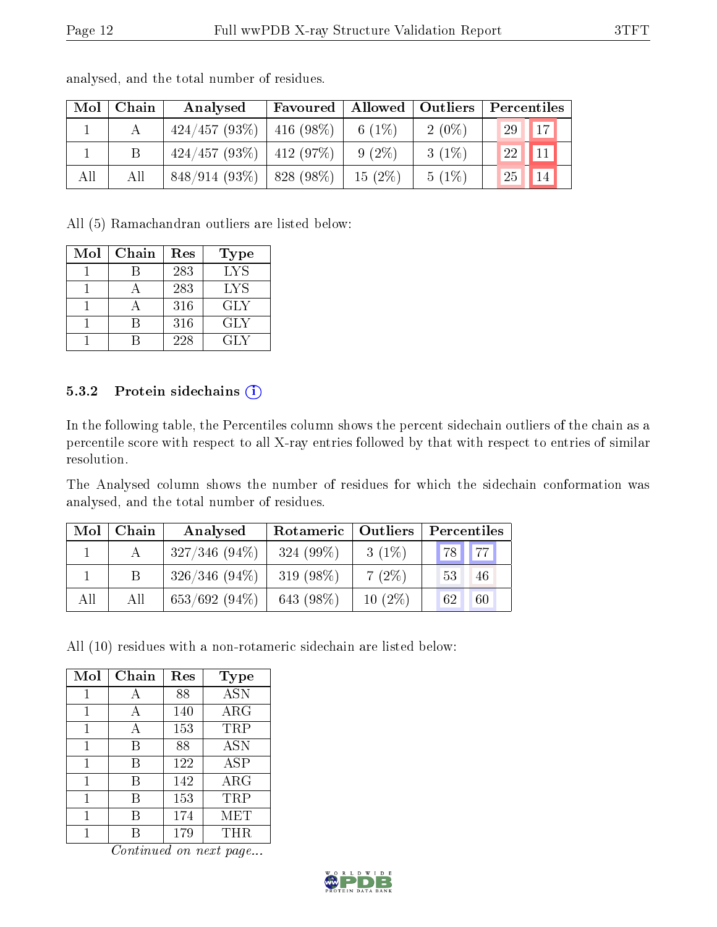| Mol | Chain | Analysed                        | Favoured     |           | Allowed   Outliers | Percentiles           |  |
|-----|-------|---------------------------------|--------------|-----------|--------------------|-----------------------|--|
|     |       | 424/457(93%)                    | $416(98\%)$  | 6 $(1\%)$ | $2(0\%)$           | 17<br>29              |  |
|     |       | $424/457 (93\%)$   $412 (97\%)$ |              | $9(2\%)$  | $3(1\%)$           | 11<br>22 <sub>1</sub> |  |
| All | All   | $848/914(93\%)$                 | $1828(98\%)$ | $15(2\%)$ | $5(1\%)$           | 14<br>25              |  |

analysed, and the total number of residues.

All (5) Ramachandran outliers are listed below:

| Mol | Chain | Res | Type       |
|-----|-------|-----|------------|
|     |       | 283 | <b>LYS</b> |
|     |       | 283 | LYS        |
|     |       | 316 | GLY        |
|     | R     | 316 | GLY        |
|     |       | 228 | GLY        |

#### 5.3.2 Protein sidechains (i)

In the following table, the Percentiles column shows the percent sidechain outliers of the chain as a percentile score with respect to all X-ray entries followed by that with respect to entries of similar resolution.

The Analysed column shows the number of residues for which the sidechain conformation was analysed, and the total number of residues.

| Mol | Chain | Analysed        | Rotameric   Outliers |           | Percentiles |  |  |
|-----|-------|-----------------|----------------------|-----------|-------------|--|--|
|     |       | $327/346(94\%)$ | $324(99\%)$          | $3(1\%)$  | 77<br>"78   |  |  |
|     |       | $326/346(94\%)$ | 319 $(98\%)$         | $7(2\%)$  | 53<br>46    |  |  |
| All | All   | $653/692(94\%)$ | 643 (98%)            | $10(2\%)$ | 60<br>62    |  |  |

All (10) residues with a non-rotameric sidechain are listed below:

| Mol | Chain | Res | <b>Type</b> |
|-----|-------|-----|-------------|
|     |       | 88  | <b>ASN</b>  |
| 1   | А     | 140 | $\rm{ARG}$  |
| 1   | А     | 153 | TRP         |
| 1   | B     | 88  | <b>ASN</b>  |
| 1   | В     | 122 | <b>ASP</b>  |
| 1   | В     | 142 | $\rm{ARG}$  |
| 1   | В     | 153 | TRP         |
| 1   | В     | 174 | MET         |
|     |       | 179 | <b>THR</b>  |

Continued on next page...

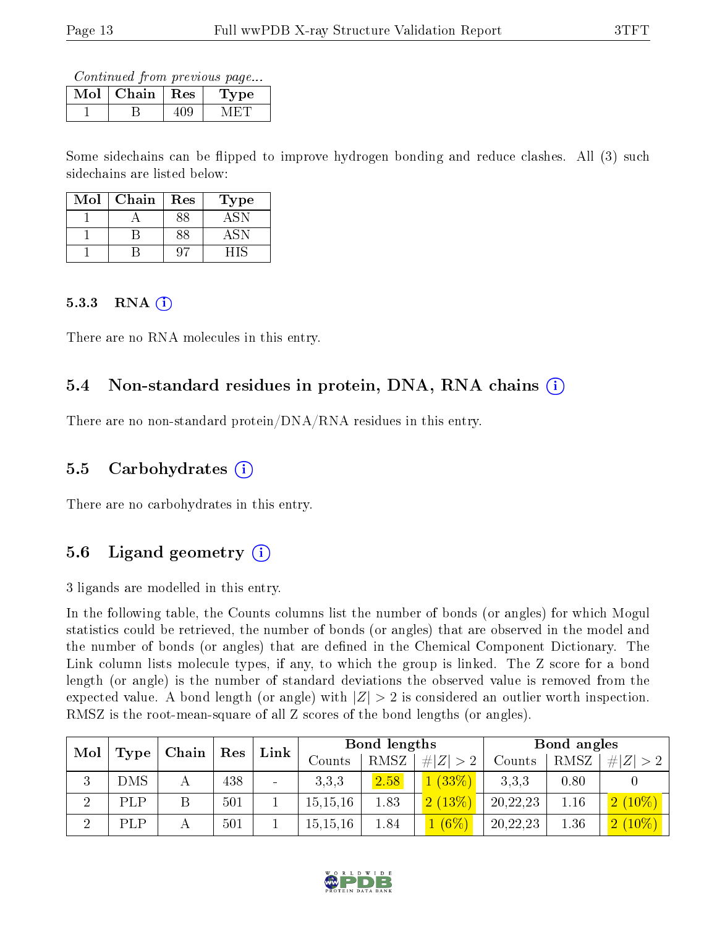Continued from previous page...

| Mol | Chain | <b>Res</b> | Lype |
|-----|-------|------------|------|
|     |       |            |      |

Some sidechains can be flipped to improve hydrogen bonding and reduce clashes. All (3) such sidechains are listed below:

| Mol | Chain | Res | Type |
|-----|-------|-----|------|
|     |       | २९  |      |
|     |       | २६  | ASN  |
|     |       |     |      |

#### 5.3.3 RNA  $(i)$

There are no RNA molecules in this entry.

### 5.4 Non-standard residues in protein, DNA, RNA chains (i)

There are no non-standard protein/DNA/RNA residues in this entry.

### 5.5 Carbohydrates  $(i)$

There are no carbohydrates in this entry.

### 5.6 Ligand geometry  $(i)$

3 ligands are modelled in this entry.

In the following table, the Counts columns list the number of bonds (or angles) for which Mogul statistics could be retrieved, the number of bonds (or angles) that are observed in the model and the number of bonds (or angles) that are defined in the Chemical Component Dictionary. The Link column lists molecule types, if any, to which the group is linked. The Z score for a bond length (or angle) is the number of standard deviations the observed value is removed from the expected value. A bond length (or angle) with  $|Z| > 2$  is considered an outlier worth inspection. RMSZ is the root-mean-square of all Z scores of the bond lengths (or angles).

| Mol<br>Chain <sup>1</sup> |            | $\operatorname{Res}$ | Link | Bond lengths   |            |      | Bond angles    |          |      |           |
|---------------------------|------------|----------------------|------|----------------|------------|------|----------------|----------|------|-----------|
|                           | Type       |                      |      |                | Counts     | RMSZ | # $ Z  > 2$    | Counts   | RMSZ | # Z       |
| 3                         | <b>DMS</b> |                      | 438  | $\blacksquare$ | 3,3,3      | 2.58 | 1(33%)         | 3.3.3    | 0.80 |           |
| റ                         | PLP        |                      | 501  |                | 15, 15, 16 | 1.83 | 2(13%)         | 20,22,23 | 1.16 | $2(10\%)$ |
| റ                         | PLP        |                      | 501  |                | 15, 15, 16 | 1.84 | $\sqrt{(6\%)}$ | 20,22,23 | 1.36 | $2(10\%)$ |

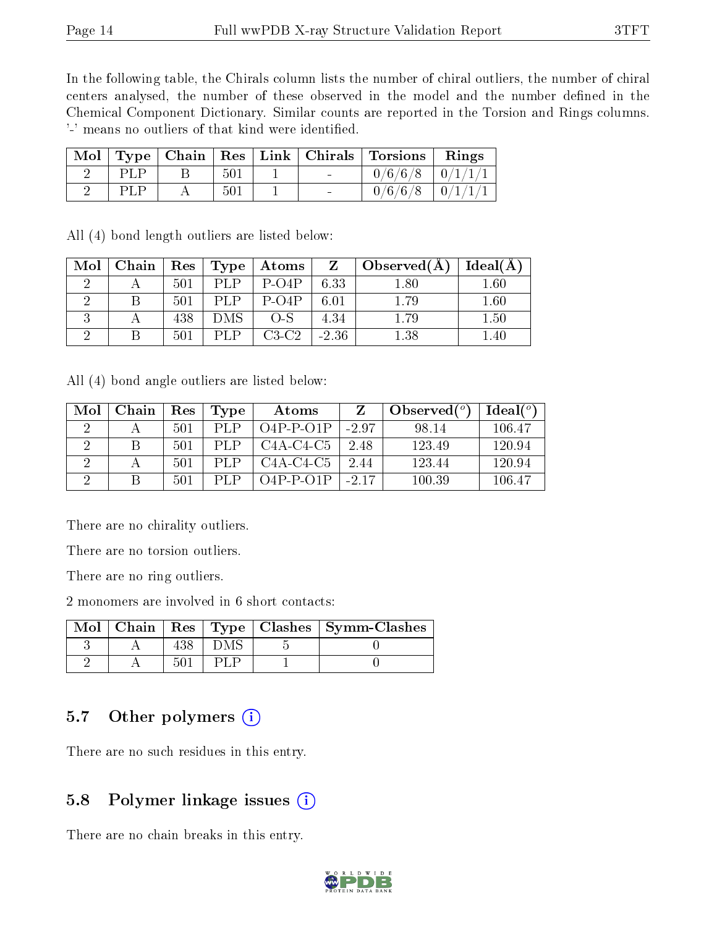In the following table, the Chirals column lists the number of chiral outliers, the number of chiral centers analysed, the number of these observed in the model and the number defined in the Chemical Component Dictionary. Similar counts are reported in the Torsion and Rings columns. '-' means no outliers of that kind were identified.

|            |     |  | Mol   Type   Chain   Res   Link   Chirals   Torsions   Rings |  |
|------------|-----|--|--------------------------------------------------------------|--|
| <b>PLP</b> | 501 |  | $0/6/6/8$ $0/1/1/1$                                          |  |
|            | 501 |  | $0/6/6/8$   $0/1/1/1$                                        |  |

All (4) bond length outliers are listed below:

| Mol | Chain | Res | Type <sub>1</sub> | $\boldsymbol{\mathrm{Atoms}}$ | Z       | Observed $(A)$ | Ideal(A) |
|-----|-------|-----|-------------------|-------------------------------|---------|----------------|----------|
|     |       | 501 |                   | $P-O4P$                       | 6.33    | $1.80\,$       | $1.60\,$ |
|     |       | 501 | I D               | $P-O4P$                       | 6.01    | 1.79           | 1.60     |
|     |       | 438 | DMS               | $O-S$                         | 4.34    | 1.79           | 1.50     |
|     |       | 501 |                   | $C3-C2$                       | $-2.36$ | $1.38\,$       | $1.40\,$ |

All (4) bond angle outliers are listed below:

| Mol | Chain | Res | Type | Atoms                                           |         | Observed $(°)$ | Ideal $(°)$ |
|-----|-------|-----|------|-------------------------------------------------|---------|----------------|-------------|
|     |       | 501 | PLP. | $O4P-P-O1P$                                     | $-2.97$ | 98.14          | 106.47      |
|     |       | 501 | PLP  | C <sub>4</sub> A-C <sub>4</sub> -C <sub>5</sub> | 2.48    | 123.49         | 120.94      |
|     |       | 501 | PLP  | $C4A-C4-C5$                                     | 2.44    | 123.44         | 120.94      |
|     |       | 501 | PI.P | $O4P-P-O1P$                                     | $-2.17$ | 100.39         | 106.47      |

There are no chirality outliers.

There are no torsion outliers.

There are no ring outliers.

2 monomers are involved in 6 short contacts:

|  |  | $\text{Mol}$   Chain   Res   Type   Clashes   Symm-Clashes |
|--|--|------------------------------------------------------------|
|  |  |                                                            |
|  |  |                                                            |

### 5.7 [O](https://www.wwpdb.org/validation/2017/XrayValidationReportHelp#nonstandard_residues_and_ligands)ther polymers  $(i)$

There are no such residues in this entry.

### 5.8 Polymer linkage issues  $(i)$

There are no chain breaks in this entry.

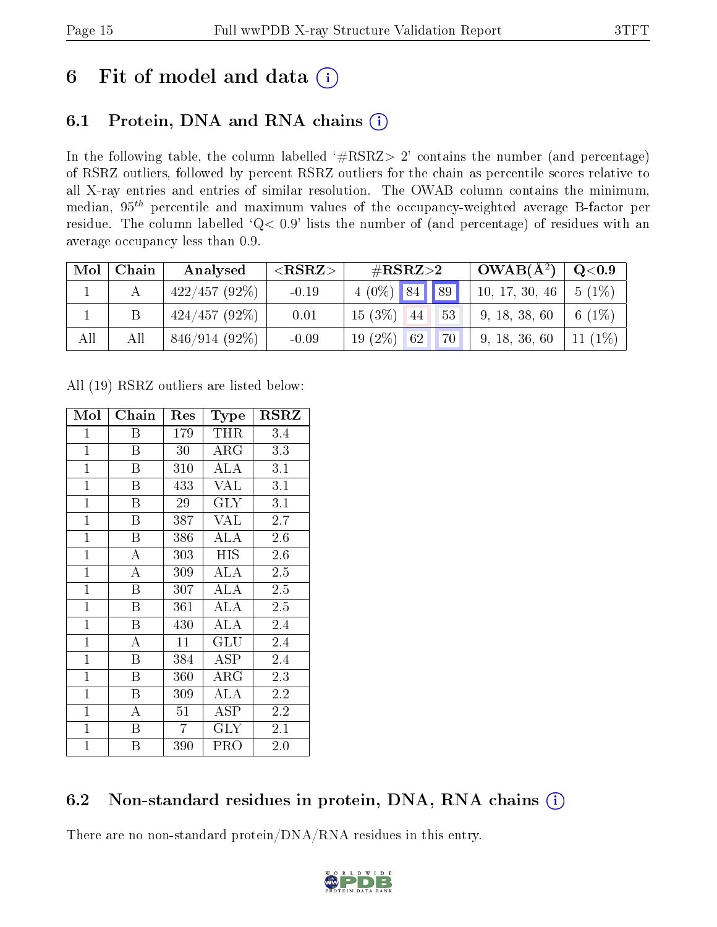# 6 Fit of model and data  $(i)$

### 6.1 Protein, DNA and RNA chains  $(i)$

In the following table, the column labelled  $#RSRZ> 2'$  contains the number (and percentage) of RSRZ outliers, followed by percent RSRZ outliers for the chain as percentile scores relative to all X-ray entries and entries of similar resolution. The OWAB column contains the minimum, median,  $95<sup>th</sup>$  percentile and maximum values of the occupancy-weighted average B-factor per residue. The column labelled ' $Q< 0.9$ ' lists the number of (and percentage) of residues with an average occupancy less than 0.9.

| Mol | Chain | Analysed        | ${ <\hspace{-1.5pt}{\mathrm{RSRZ}} \hspace{-1.5pt}>}$ | $\#\text{RSRZ}\text{>2}$  | $^{\circ}$ OWAB( $\rm \AA^2)$ ) | $\rm{Q}\textcolor{black}{<}0.9$ |
|-----|-------|-----------------|-------------------------------------------------------|---------------------------|---------------------------------|---------------------------------|
|     |       | 422/457(92%)    | $-0.19$                                               | $4(0\%)$ 84 89            | 10, 17, 30, 46                  | $  5 (1\%)$                     |
|     |       | $424/457(92\%)$ | 0.01                                                  | $15(3\%)$ 44<br>53        | 9, 18, 38, 60                   | 6 $(1%)$                        |
| All | All   | 846/914 (92%)   | $-0.09$                                               | <b>70</b><br>$19(2\%)$ 62 | 9, 18, 36, 60                   | 11 $(1\%)$                      |

All (19) RSRZ outliers are listed below:

| Mol            | Chain | Res            | Type       | <b>RSRZ</b> |
|----------------|-------|----------------|------------|-------------|
| $\mathbf 1$    | Β     | 179            | <b>THR</b> | 3.4         |
| $\mathbf{1}$   | B     | 30             | $\rm{ARG}$ | 3.3         |
| $\mathbf{1}$   | B     | 310            | ALA        | 3.1         |
| $\mathbf{1}$   | B     | 433            | <b>VAL</b> | 3.1         |
| $\mathbf{1}$   | B     | 29             | $\rm GLY$  | 3.1         |
| $\mathbf{1}$   | B     | 387            | VAL        | 2.7         |
| $\overline{1}$ | B     | 386            | <b>ALA</b> | 2.6         |
| $\mathbf{1}$   | A     | 303            | <b>HIS</b> | 2.6         |
| $\mathbf{1}$   | A     | 309            | ALA        | 2.5         |
| $\mathbf{1}$   | B     | 307            | ALA        | 2.5         |
| $\mathbf{1}$   | B     | 361            | ALA        | 2.5         |
| $\mathbf{1}$   | B     | 430            | ALA        | 2.4         |
| $\overline{1}$ | A     | 11             | GLU        | 2.4         |
| $\overline{1}$ | B     | 384            | ASP        | 2.4         |
| $\mathbf{1}$   | B     | 360            | $\rm{ARG}$ | 2.3         |
| $\mathbf{1}$   | B     | 309            | ALA        | 2.2         |
| $\mathbf{1}$   | A     | 51             | ASP        | 2.2         |
| $\mathbf{1}$   | Β     | $\overline{7}$ | $\rm GLY$  | 2.1         |
| $\mathbf{1}$   | Β     | 390            | PRO        | 2.0         |

### 6.2 Non-standard residues in protein, DNA, RNA chains (i)

There are no non-standard protein/DNA/RNA residues in this entry.